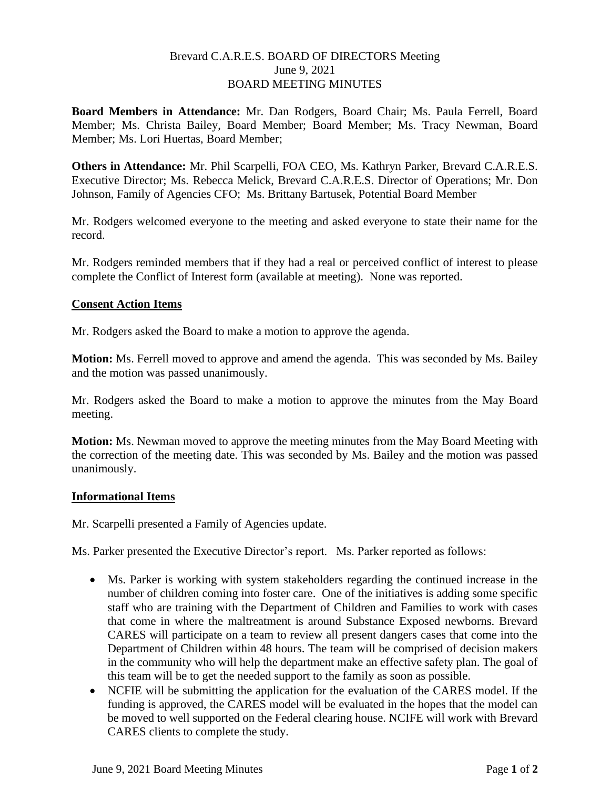# Brevard C.A.R.E.S. BOARD OF DIRECTORS Meeting June 9, 2021 BOARD MEETING MINUTES

**Board Members in Attendance:** Mr. Dan Rodgers, Board Chair; Ms. Paula Ferrell, Board Member; Ms. Christa Bailey, Board Member; Board Member; Ms. Tracy Newman, Board Member; Ms. Lori Huertas, Board Member;

**Others in Attendance:** Mr. Phil Scarpelli, FOA CEO, Ms. Kathryn Parker, Brevard C.A.R.E.S. Executive Director; Ms. Rebecca Melick, Brevard C.A.R.E.S. Director of Operations; Mr. Don Johnson, Family of Agencies CFO; Ms. Brittany Bartusek, Potential Board Member

Mr. Rodgers welcomed everyone to the meeting and asked everyone to state their name for the record.

Mr. Rodgers reminded members that if they had a real or perceived conflict of interest to please complete the Conflict of Interest form (available at meeting). None was reported.

## **Consent Action Items**

Mr. Rodgers asked the Board to make a motion to approve the agenda.

**Motion:** Ms. Ferrell moved to approve and amend the agenda. This was seconded by Ms. Bailey and the motion was passed unanimously.

Mr. Rodgers asked the Board to make a motion to approve the minutes from the May Board meeting.

**Motion:** Ms. Newman moved to approve the meeting minutes from the May Board Meeting with the correction of the meeting date. This was seconded by Ms. Bailey and the motion was passed unanimously.

#### **Informational Items**

Mr. Scarpelli presented a Family of Agencies update.

Ms. Parker presented the Executive Director's report. Ms. Parker reported as follows:

- Ms. Parker is working with system stakeholders regarding the continued increase in the number of children coming into foster care. One of the initiatives is adding some specific staff who are training with the Department of Children and Families to work with cases that come in where the maltreatment is around Substance Exposed newborns. Brevard CARES will participate on a team to review all present dangers cases that come into the Department of Children within 48 hours. The team will be comprised of decision makers in the community who will help the department make an effective safety plan. The goal of this team will be to get the needed support to the family as soon as possible.
- NCFIE will be submitting the application for the evaluation of the CARES model. If the funding is approved, the CARES model will be evaluated in the hopes that the model can be moved to well supported on the Federal clearing house. NCIFE will work with Brevard CARES clients to complete the study.